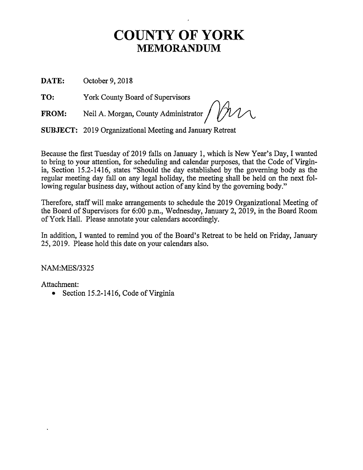## **COUNTY OF YORK MEMORANDUM**

DATE: October 9, 2018

TO: York County Board of Supervisors

**FROM:** Neil A. Morgan, County Administrator~

**SUBJECT:** 2019 Organizational Meeting and January Retreat

Because the first Tuesday of 2019 falls on January 1, which is New Year's Day, I wanted to bring to your attention, for scheduling and calendar purposes, that the Code of Virginia, Section 15.2-1416, states "Should the day established by the governing body as the regular meeting day fall on any legal holiday, the meeting shall be held on the next following regular business day, without action of any kind by the governing body."

Therefore, staff will make arrangements to schedule the 2019 Organizational Meeting of the Board of Supervisors for 6:00 p.m., Wednesday, January 2,  $2019$ , in the Board Room of York Hall. Please annotate your calendars accordingly.

In addition, I wanted to remind you of the Board's Retreat to be held on Friday, January 25, .2019. Please hold this date on your calendars also.

NAM:MES/3325

Attachment:

• Section 15.2-1416, Code of Virginia